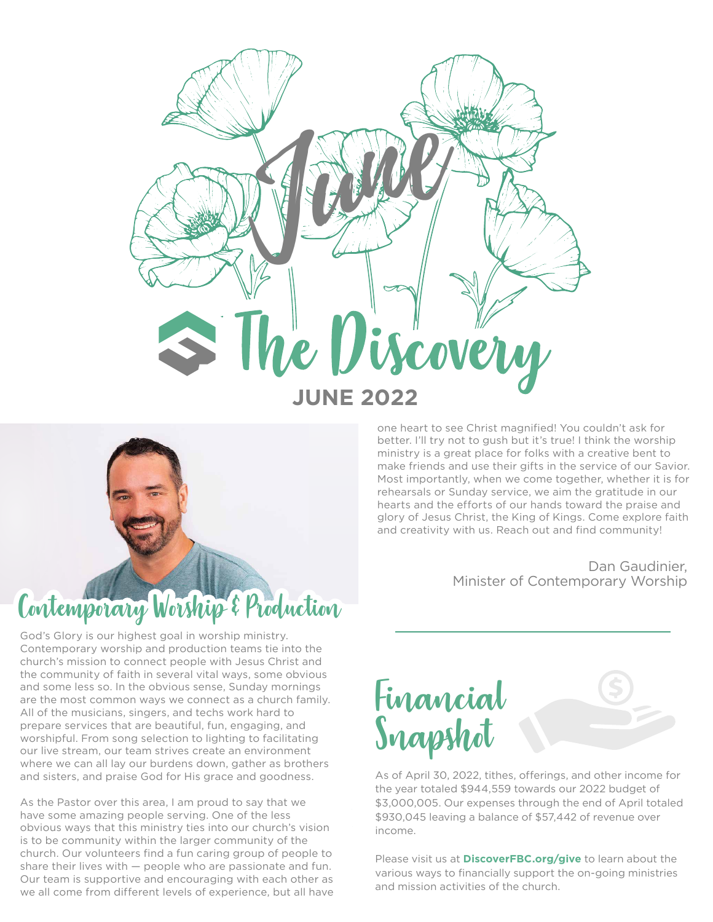



God's Glory is our highest goal in worship ministry. Contemporary worship and production teams tie into the church's mission to connect people with Jesus Christ and the community of faith in several vital ways, some obvious and some less so. In the obvious sense, Sunday mornings are the most common ways we connect as a church family. All of the musicians, singers, and techs work hard to prepare services that are beautiful, fun, engaging, and worshipful. From song selection to lighting to facilitating our live stream, our team strives create an environment where we can all lay our burdens down, gather as brothers and sisters, and praise God for His grace and goodness.

As the Pastor over this area, I am proud to say that we have some amazing people serving. One of the less obvious ways that this ministry ties into our church's vision is to be community within the larger community of the church. Our volunteers find a fun caring group of people to share their lives with — people who are passionate and fun. Our team is supportive and encouraging with each other as we all come from different levels of experience, but all have

one heart to see Christ magnified! You couldn't ask for better. I'll try not to gush but it's true! I think the worship ministry is a great place for folks with a creative bent to make friends and use their gifts in the service of our Savior. Most importantly, when we come together, whether it is for rehearsals or Sunday service, we aim the gratitude in our hearts and the efforts of our hands toward the praise and glory of Jesus Christ, the King of Kings. Come explore faith and creativity with us. Reach out and find community!

> Dan Gaudinier, Minister of Contemporary Worship



As of April 30, 2022, tithes, offerings, and other income for the year totaled \$944,559 towards our 2022 budget of \$3,000,005. Our expenses through the end of April totaled \$930,045 leaving a balance of \$57,442 of revenue over income.

Please visit us at **DiscoverFBC.org/give** to learn about the various ways to financially support the on-going ministries and mission activities of the church.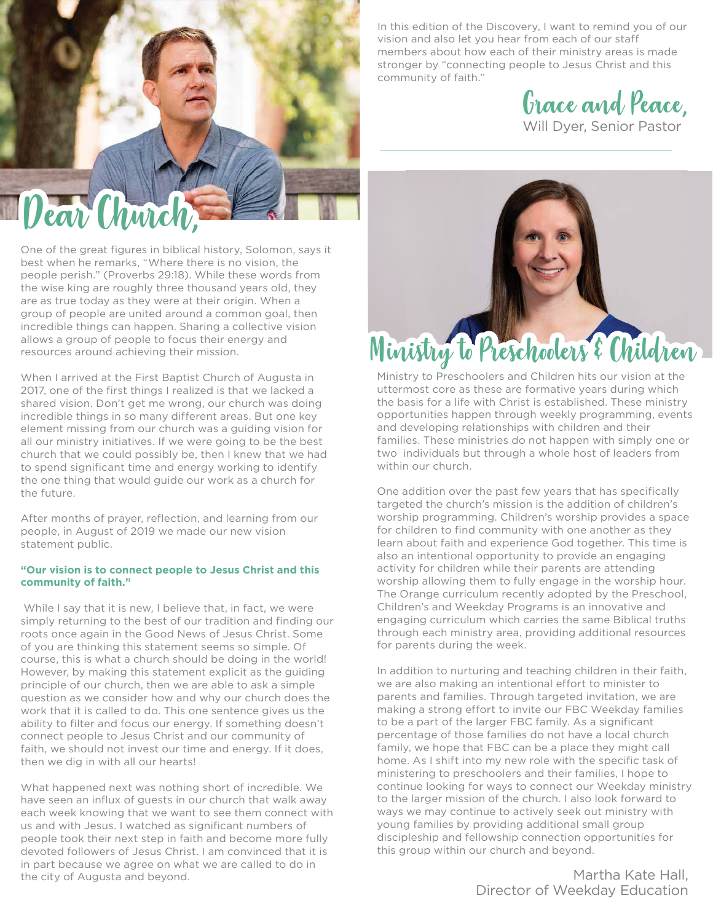

One of the great figures in biblical history, Solomon, says it best when he remarks, "Where there is no vision, the people perish." (Proverbs 29:18). While these words from the wise king are roughly three thousand years old, they are as true today as they were at their origin. When a group of people are united around a common goal, then incredible things can happen. Sharing a collective vision allows a group of people to focus their energy and resources around achieving their mission.

When I arrived at the First Baptist Church of Augusta in 2017, one of the first things I realized is that we lacked a shared vision. Don't get me wrong, our church was doing incredible things in so many different areas. But one key element missing from our church was a guiding vision for all our ministry initiatives. If we were going to be the best church that we could possibly be, then I knew that we had to spend significant time and energy working to identify the one thing that would guide our work as a church for the future.

After months of prayer, reflection, and learning from our people, in August of 2019 we made our new vision statement public.

## **"Our vision is to connect people to Jesus Christ and this community of faith."**

 While I say that it is new, I believe that, in fact, we were simply returning to the best of our tradition and finding our roots once again in the Good News of Jesus Christ. Some of you are thinking this statement seems so simple. Of course, this is what a church should be doing in the world! However, by making this statement explicit as the guiding principle of our church, then we are able to ask a simple question as we consider how and why our church does the work that it is called to do. This one sentence gives us the ability to filter and focus our energy. If something doesn't connect people to Jesus Christ and our community of faith, we should not invest our time and energy. If it does, then we dig in with all our hearts!

What happened next was nothing short of incredible. We have seen an influx of guests in our church that walk away each week knowing that we want to see them connect with us and with Jesus. I watched as significant numbers of people took their next step in faith and become more fully devoted followers of Jesus Christ. I am convinced that it is in part because we agree on what we are called to do in the city of Augusta and beyond.

In this edition of the Discovery, I want to remind you of our vision and also let you hear from each of our staff members about how each of their ministry areas is made stronger by "connecting people to Jesus Christ and this community of faith."

Grace and Peace, Will Dyer, Senior Pastor



Ministry to Preschoolers and Children hits our vision at the uttermost core as these are formative years during which the basis for a life with Christ is established. These ministry opportunities happen through weekly programming, events and developing relationships with children and their families. These ministries do not happen with simply one or two individuals but through a whole host of leaders from within our church.

One addition over the past few years that has specifically targeted the church's mission is the addition of children's worship programming. Children's worship provides a space for children to find community with one another as they learn about faith and experience God together. This time is also an intentional opportunity to provide an engaging activity for children while their parents are attending worship allowing them to fully engage in the worship hour. The Orange curriculum recently adopted by the Preschool, Children's and Weekday Programs is an innovative and engaging curriculum which carries the same Biblical truths through each ministry area, providing additional resources for parents during the week.

In addition to nurturing and teaching children in their faith, we are also making an intentional effort to minister to parents and families. Through targeted invitation, we are making a strong effort to invite our FBC Weekday families to be a part of the larger FBC family. As a significant percentage of those families do not have a local church family, we hope that FBC can be a place they might call home. As I shift into my new role with the specific task of ministering to preschoolers and their families, I hope to continue looking for ways to connect our Weekday ministry to the larger mission of the church. I also look forward to ways we may continue to actively seek out ministry with young families by providing additional small group discipleship and fellowship connection opportunities for this group within our church and beyond.

> Martha Kate Hall, Director of Weekday Education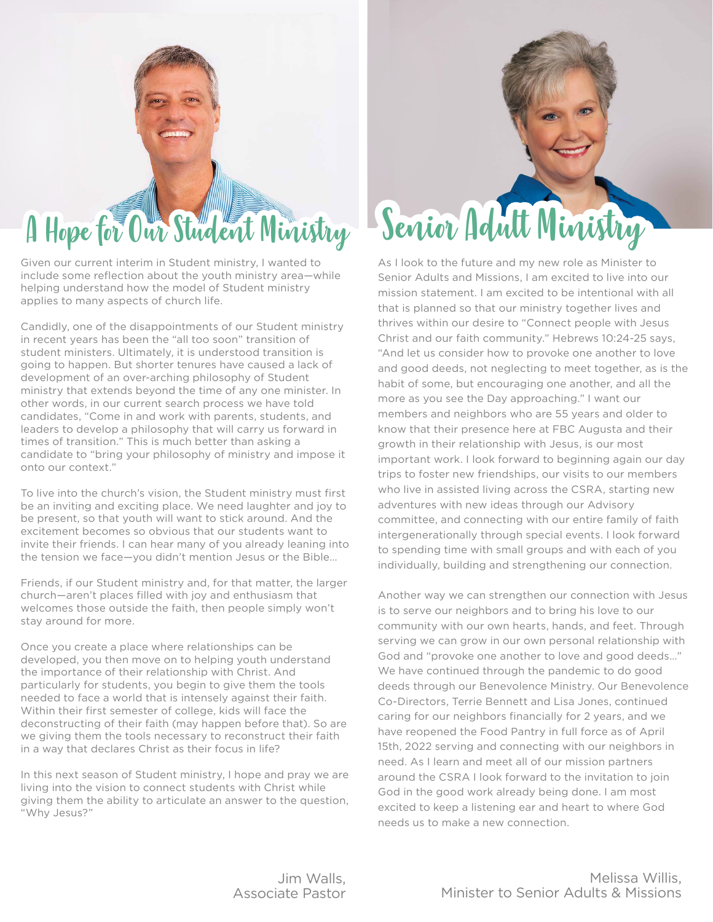## A Hope for Our Student Ministry

Given our current interim in Student ministry, I wanted to include some reflection about the youth ministry area—while helping understand how the model of Student ministry applies to many aspects of church life.

Candidly, one of the disappointments of our Student ministry in recent years has been the "all too soon" transition of student ministers. Ultimately, it is understood transition is going to happen. But shorter tenures have caused a lack of development of an over-arching philosophy of Student ministry that extends beyond the time of any one minister. In other words, in our current search process we have told candidates, "Come in and work with parents, students, and leaders to develop a philosophy that will carry us forward in times of transition." This is much better than asking a candidate to "bring your philosophy of ministry and impose it onto our context."

To live into the church's vision, the Student ministry must first be an inviting and exciting place. We need laughter and joy to be present, so that youth will want to stick around. And the excitement becomes so obvious that our students want to invite their friends. I can hear many of you already leaning into the tension we face—you didn't mention Jesus or the Bible…

Friends, if our Student ministry and, for that matter, the larger church—aren't places filled with joy and enthusiasm that welcomes those outside the faith, then people simply won't stay around for more.

Once you create a place where relationships can be developed, you then move on to helping youth understand the importance of their relationship with Christ. And particularly for students, you begin to give them the tools needed to face a world that is intensely against their faith. Within their first semester of college, kids will face the deconstructing of their faith (may happen before that). So are we giving them the tools necessary to reconstruct their faith in a way that declares Christ as their focus in life?

In this next season of Student ministry, I hope and pray we are living into the vision to connect students with Christ while giving them the ability to articulate an answer to the question, "Why Jesus?"

## Senior Adult Ministry

As I look to the future and my new role as Minister to Senior Adults and Missions, I am excited to live into our mission statement. I am excited to be intentional with all that is planned so that our ministry together lives and thrives within our desire to "Connect people with Jesus Christ and our faith community." Hebrews 10:24-25 says, "And let us consider how to provoke one another to love and good deeds, not neglecting to meet together, as is the habit of some, but encouraging one another, and all the more as you see the Day approaching." I want our members and neighbors who are 55 years and older to know that their presence here at FBC Augusta and their growth in their relationship with Jesus, is our most important work. I look forward to beginning again our day trips to foster new friendships, our visits to our members who live in assisted living across the CSRA, starting new adventures with new ideas through our Advisory committee, and connecting with our entire family of faith intergenerationally through special events. I look forward to spending time with small groups and with each of you individually, building and strengthening our connection.

Another way we can strengthen our connection with Jesus is to serve our neighbors and to bring his love to our community with our own hearts, hands, and feet. Through serving we can grow in our own personal relationship with God and "provoke one another to love and good deeds…" We have continued through the pandemic to do good deeds through our Benevolence Ministry. Our Benevolence Co-Directors, Terrie Bennett and Lisa Jones, continued caring for our neighbors financially for 2 years, and we have reopened the Food Pantry in full force as of April 15th, 2022 serving and connecting with our neighbors in need. As I learn and meet all of our mission partners around the CSRA I look forward to the invitation to join God in the good work already being done. I am most excited to keep a listening ear and heart to where God needs us to make a new connection.